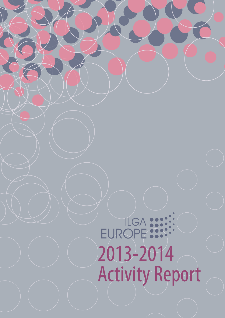# EUROPE : 2013-2014 Activity Report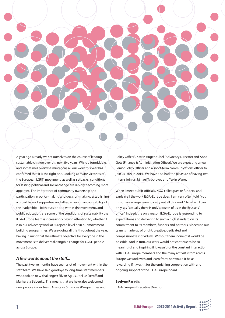

A year ago already we set ourselves on the course of leading sustainable change over the next five years. While a formidable, and sometimes overwhelming goal, all our work this year has confirmed that it is the right one. Looking at major victories of the European LGBTI movement, as well as setbacks, conditions for lasting political and social change are rapidly becoming more apparent. The importance of community ownership and participation in policy-making and decision-making, establishing a broad base of supporters and allies, ensuring accountability of the leadership – both outside and within the movement, and public education, are some of the conditions of sustainability the ILGA-Europe team is increasingly paying attention to, whether it is in our advocacy work at European level or in our movement building programmes. We are doing all this throughout the year, having in mind that the ultimate objective for everyone in the movement is to deliver real, tangible change for LGBTI people across Europe.

#### *A few words about the staff...*

The past twelve months have seen a lot of movement within the staff team. We have said goodbye to long-time staff members who took on new challenges: Silvan Agius, Joel Le Déroff and Marharyta Babenko. This means that we have also welcomed new people in our team: Anastasia Smirnova (Programmes and

Policy Officer), Katrin Hugendubel (Advocacy Director) and Anna Gots (Finance & Administration Officer). We are expecting a new Senior Policy Officer and a short-term communications officer to join us later in 2014. We have also had the pleasure of having two interns join us: Mihael Topolovec and Yuxin Wang.

When I meet public officials, NGO colleagues or funders, and explain all the work ILGA-Europe does, I am very often told "you must have a large team to carry out all this work", to which I can only say "actually there is only a dozen of us in the Brussels' office". Indeed, the only reason ILGA-Europe is responding to expectations and delivering to such a high standard on its commitment to its members, funders and partners is because our team is made up of bright, creative, dedicated and compassionate individuals. Without them, none of it would be possible. And in turn, our work would not continue to be so meaningful and inspiring if it wasn't for the constant interaction with ILGA-Europe members and the many activists from across Europe we work with and learn from; nor would it be as rewarding if it wasn't for the enriching cooperation with and ongoing support of the ILGA-Europe board.

#### **Evelyne Paradis**

ILGA-Europe's Executive Director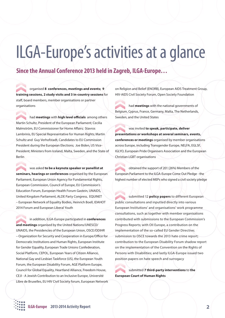## ILGA-Europe's activities at a glance

### **Since the Annual Conference 2013 held in Zagreb, ILGA-Europe…**

organised **8 conferences, meetings and events; 9 training sessions, 2 study visits and 3 in-country sessions** for staff, board members, member organisations or partner organisations

had **meetings** with **high level officials** among others Martin Schultz, President of the European Parliament; Cecilia Malmström, EU Commissioner for Home Affairs; Stavros Lambrinis, EU Special Representative for Human Rights; Martin Schultz and Guy Verhofstadt, Candidates to EU Commission President during the European Elections; Joe Biden, US Vice-President; Ministers from Iceland, Malta, Sweden, and the State of Berlin

was asked **to be a keynote speaker or panellist at seminars, hearings or conferences** organised by the European Parliament, European Union Agency for Fundamental Rights, European Commission, Council of Europe, EU Commission's Education Forum, European Health Forum Gastein, UNAIDS, United Kingdom Parliament, ALDE Party Congress, EQUINET – European Network of Equality Bodies, Heinrich Boell, IDAHOT 2014 Forum and European Liberal Youth

in addition, ILGA-Europe participated in **conferences and meetings** organised by the United Nations/UNESCO/ UNAIDS, the Presidencies of the European Union, OSCE/ODIHR – Organization for Security and Cooperation in Europe/Office for Democratic Institutions and Human Rights, European Institute for Gender Equality, European Trade Unions Confederation, Social Platform, CEPOL, European Years of Citizen Alliance, National Gay and Lesbian Taskforce (US), the European Youth Forum, the European Disability Forum, AGE Platform Europe, Council for Global Equality, Heartland Alliance, Freedom House, CEJI - A Jewish Contribution to an Inclusive Europe, Université Libre de Bruxelles, EU HIV Civil Society forum, European Network on Religion and Belief (ENORB), European AIDS Treatment Group, HIV-AIDS Civil Society Forum, Open Society Foundation

had **meetings** with the national governments of Belgium, Cyprus, France, Germany, Malta, The Netherlands, Sweden, and the United States

was invited **to speak, participate, deliver presentations or workshops at several seminars, events, conferences or meetings** organised by member organisations across Europe, including Transgender Europe, NELFA, EGLSF, IGLYO, European Pride Organisers Association and the European Christian LGBT organisations

obtained the support of 201 (26%) Members of the European Parliament to the ILGA-Europe Come Out Pledge - the highest number of elected MEPs who signed a civil society pledge

submitted 12 **policy papers** to different European public consultations and inputted directly into various European Institutions' and organisations' work programme consultations, such as together with member organisations contributed with submissions to the European Commission's Progress Reports; with OII Europe, a contribution on the implementation of the so-called EU Gender Directive; submission to OSCE towards the 2013 hate crime report; contribution to the European Disability Forum shadow report on the implementation of the Convention on the Rights of Persons with Disabilities; and lastly ILGA-Europe issued two position papers on hate speech and surrogacy

submitted **7 third-party interventions** to **the European Court of Human Rights**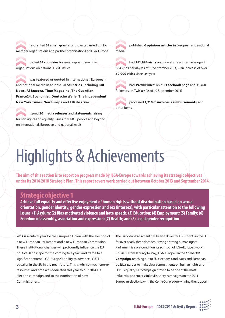re-granted **32 small grants** for projects carried out by member organisations and partner organisations of ILGA-Europe

visited **14 countries** for meetings with member organisations on national LGBTI issues

was featured or quoted in international, European and national media in at least **30 countries**, including B**BC News, Al Jazeera, Time Magazine, The Guardian, France24, Economist, Deutsche Welle, The Independent, New York Times, NewEurope** and **EUObserver**

issued **30 media releases** and **statements** raising human rights and equality issues for LGBTI people and beyond on international, European and national levels

published **6 opinions articles** in European and national media

had **281,994 visits** on our website with an average of 884 visits per day (as of 10 September 2014) – an increase of over **60,000 visits** since last year

had **19,900 'likes'** on our **Facebook page** and **11,760** followers on **Twitter** (as of 10 September 2014)

processed **1,210** of **invoices, reimbursements**, and other items

# Highlights & Achievements

**The aim of this section is to report on progress made by ILGA-Europe towards achieving its strategic objectives under its 2014-2018 Strategic Plan. This report covers work carried out between October 2013 and September 2014.**

### **Strategic objective 1**

**Achieve full equality and effective enjoyment of human rights without discrimination based on sexual orientation, gender identity, gender expression and sex (intersex), with particular attention to the following issues: (1) Asylum; (2) Bias-motivated violence and hate speech; (3) Education; (4) Employment; (5) Family; (6) Freedom of assembly, association and expression; (7) Health; and (8) Legal gender recognition**

2014 is a critical year for the European Union with the election of a new European Parliament and a new European Commission. These institutional changes will profoundly influence the EU political landscape for the coming five years and frame to a significant extent ILGA-Europe's ability to advance LGBTI equality in the EU in the near future. This is why so much energy, resources and time was dedicated this year to our 2014 EU election campaign and to the nomination of new Commissioners.

The European Parliament has been a driver for LGBT rights in the EU for over nearly three decades. Having a strong human rights Parliament is a pre-condition for so much of ILGA-Europe's work in Brussels. From January to May, ILGA-Europe ran the *Come Out* **Campaign**, reaching out to EU elections candidates and European political parties to make clear commitments on human rights and LGBTI equality. Our campaign proved to be one of the most influential and successful civil society campaigns on the 2014 European elections, with the *Come Out* pledge winning the support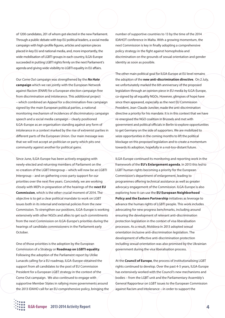of 1200 candidates, 201 of whom got elected in the new Parliament. Through a public debate with top EU political leaders, a social media campaign with high-profile figures, articles and opinion pieces placed in key EU and national media, and, more importantly, the wide mobilisation of LGBTI groups in each country, ILGA-Europe succeeded in putting LGBTI rights firmly on the next Parliament's agenda and giving wide visibility to LGBTI equality in EU affairs.

Our *Come Out* campaign was strengthened by the *No Hate* **campaign** which we ran jointly with the European Network against Racism (ENAR) for a European election campaign free from discrimination and intolerance. This additional project – which combined an Appeal for a discrimination-free campaign signed by the main European political parties, a national monitoring mechanism of incidences of discriminatory campaign speech and a social media campaign – clearly positioned ILGA-Europe as an organisation standing against any form of intolerance in a context marked by the rise of extremist parties in different parts of the European Union. Our main message was that we will not accept an politician or party which pits one community against another for political gains.

Since June, ILGA-Europe has been actively engaging with newly-elected and returning members of Parliament on the re-creation of the LGBT Intergroup – which will now be an LGBTI Intergroup – and on gathering cross-party support for our priorities over the next five years. Concretely, we are working closely with MEPs in preparation of the hearings of the **next EU Commission**, which is the other crucial moment of 2014. The objective is to get a clear political mandate to work on LGBT issues both in its internal and external policies from the new Commission. To strengthen our positions, ILGA-Europe is working extensively with other NGOs and allies to get such commitments from the next Commission on ILGA-Europe's priorities during the hearings of candidate commissioners in the Parliament early October.

One of those priorities is the adoption by the European Commission of a Strategy or **Roadmap on LGBTI equality**. Following the adoption of the Parliament report by Ulrike Lunacek calling for a EU roadmap, ILGA-Europe obtained the support from all candidates to the post of EU Commission President for a European LGBT strategy in the context of the Come Out campaign. We also continued to engage with supportive Member States in rallying more governments around the 2013 IDAHO call for an EU comprehensive policy, bringing the number of supportive countries to 13 by the time of the 2014 IDAHOT conference in Malta. With a growing momentum, the next Commission is key in finally adopting a comprehensive policy strategy in the fight against homophobia and discrimination on the grounds of sexual orientation and gender identity as soon as possible.

The other main political goal for ILGA-Europe at EU level remains the adoption of the **new anti-discrimination directive**. On 2 July, we unfortunately marked the 6th anniversary of the proposed legislation through an opinion piece in EU media by ILGA-Europe, co-signed by all equality NGOs. However, glimpses of hope have since then appeared, especially as the next EU Commission President, Jean-Claude Juncker, made the anti-discrimination directive a priority for his mandate. It is in this context that we have re-energised the NGO coalition in Brussels and met with government and political officials in Berlin to explore opportunities to get Germany on the side of supporters. We are mobilized to seize opportunities in the coming months to lift the political blockage on this proposed legislation and to create a momentum towards its adoption, hopefully in a not-too-distant future.

ILGA-Europe continued its monitoring and reporting work in the framework of the **EU's Enlargement agenda**. In 2013 this led to LGBT human rights becoming a priority for the European Commission's department of enlargement, leading to programmes offering technical assistance as well as greater advocacy engagement of the Commission. ILGA-Europe is also exploring how it can use the **EU European Neighborhood Policy and the Eastern Partnership** initiatives as leverage to advance the human rights of LGBTI people. This work includes advocating for new progress benchmarks, including around ensuring the development of relevant anti-discrimination protection legislation in the context of visa liberalisation processes. As a result, Moldova in 2013 adopted sexual orientation inclusive anti-discrimination legislation. The development of effective anti-discrimination protection including sexual orientation was also promised by the Ukrainian government during the visa liberalisation process.

At the **Council of Europe**, the process of institutionalising LGBT rights continued to develop. Over the past 4-5 years, ILGA-Europe has extensively worked with the Council's new mechanisms and bodies – from the LGBT unit and the Parliamentary Assembly's General Rapporteur on LGBT issues to the European Commission against Racism and Intolerance – in order to support the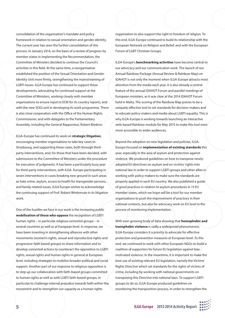consolidation of the organisation's mandate and policy framework in relation to sexual orientation and gender identity. The current year has seen the further consolidation of this process. In January 2014, on the basis of a review of progress by member states in implementing the Recommendation, the Committee of Ministers decided to continue the Council's activities in this field. At the same time, a reorganisation established the position of the Sexual Orientation and Gender Identity Unit more firmly, strengthening the mainstreaming of LGBTI issues. ILGA Europe has continued to support these developments, advocating for continued support at the Committee of Ministers, working closely with member organisations to ensure input to ECRI for its country reports, and with the new SOGI unit in developing its work programme. There is also close cooperation with the Office of the Human Rights Commissioner, and with delegates to the Parliamentary Assembly, including the General Rapporteur, Robert Biedron.

ILGA-Europe has continued its work on **strategic litigation**, encouraging member organisations to take key cases to Strasbourg, and supporting these cases, both through thirdparty interventions, and, for those that have been decided, with submissions to the Committee of Ministers under the procedure for execution of judgments. It has been a particularly busy year for third-party interventions, with ILGA- Europe participating in seven interventions in cases breaking new ground in such areas as hate crime, asylum, access to health for transgender persons, and family related issues. ILGA Europe wishes to acknowledge the continuing support of Prof. Robert Wintemute in its litigation work.

One of the hurdles we face in our work is the increasing public **mobilisation of those who oppose** the recognition of LGBTI human rights – in particular religious extremist groups – in several countries as well as at European level. In response, we have been investing in strengthening alliances with other movements (women's rights, sexual and reproductive rights and progressive-faith based groups) to share information and to develop concerted actions to counteract the opposition to LGBTI rights, sexual rights and human rights in general at European level, including strategies to mobilise broader political and social support. Another part of our response to religious opposition is to step up our collaboration with faith-based groups committed to human rights as well as with LGBTI faith-based groups, in particular to challenge internal prejudice towards faith within the movement and to strengthen our capacity as a human rights

organisation to also support the right to freedom of religion. To this end, ILGA-Europe continued to build its relationship with the European Network on Religion and Belief, and with the European Forum of LGBT Christian Groups.

ILGA-Europe's **benchmarking activities** have become central to our advocacy and our communication work. The launch of our Annual Rainbow Package (Annual Review & Rainbow Map) on IDAHOT is not only the moment when ILGA-Europe attracts most attention from the media each year, it is also already a central feature of the annual IDAHOT Forum and parallel meetings of European ministers, as it was clear at the 2014 IDAHOT Forum held in Malta. The scoring of the Rainbow Map proves to be a uniquely effective tool to set standards for decision-makers and to educate policy-makers and media about LGBTI equality. This is why ILGA-Europe is working towards launching an interactive web-based Rainbow module for May 2015 to make this tool even more accessible to wider audiences.

Beyond the adoption on new legislation and policies, ILGA-Europe focused on **implementation of existing standards** this year, especially in the area of asylum and protection against violence. We produced guidelines on how to transpose newlyadopted EU directives on asylum and on victims' rights into national law in order to support LGBTI groups and other allies in working with policy-makers to make sure the standards are properly applied in each EU country. We also published a guide of good practices in relation to asylum procedures in 13 EU member states, which we hope will be a tool for our member organisations to push the improvement of practices in their national contexts, but also for advocacy work on EU level in the process of monitoring implementation.

With ever-growing body of data showing that **homophobic and transphobic violence** is sadly a widespread phenomenon, ILGA-Europe considers it a priority to advocate for effective protection and prevention measures at European level. To this end, we continued to work with other European NGOs to build a coalition of supporters for future EU legislation against biasmotivated violence. In the meantime, it is important to make the best use of existing relevant EU legislation, namely the Victims' Rights Directive which set standards for the rights of victims of crime, including by working with national governments on transposing this Directive into national laws. To support LGBTI groups to do so, ILGA-Europe produced guidelines on monitoring the transposition process. In order to strengthen the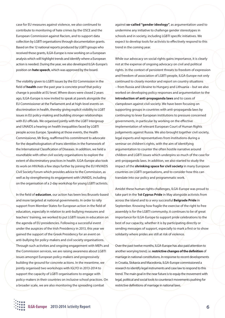case for EU measures against violence, we also continued to contribute to monitoring of hate crimes by the OSCE and the European Commission against Racism, and to support data collection by LGBTI organisations through documentation grants. Based on the 12 national reports produced by LGBTI groups who received those grants, ILGA-Europe is now working on a European analysis which will highlight trends and identify where a European action is needed. During the year, we also developed ILGA-Europe's position on **hate speech**, which was approved by the board.

The visibility given to LGBTI issues by the EU Commission in the field of **health** over the past year is concrete proof that policy change is possible at EU level. Where doors were closed 2 years ago, ILGA-Europe is now invited to speak at panels alongside the EU Commissioner at the Parliament and at high-level events on discrimination in health, thereby giving explicit visibility to LGBT issues in EU policy-making and building stronger relationships with EU officials. We organised jointly with the LGBT Intergroup and UNAIDS a hearing on health inequalities faced by LGBTI people across Europe. Speaking at those events, the Health Commissioner, Mr Borg, reaffirmed his commitment to advocate for the depathologisation of trans identities in the framework of the International Classification of Diseases. In addition, we held a roundtable with other civil society organisations to explore the extent of discriminatory practices in health. ILGA-Europe also took its work on HIV/Aids a few steps further by joining the EU HIV/AIDS Civil Society Forum which provides advice to the Commission, as well as by strengthening its engagement with UNAIDS, including on the organisation of a 2-day workshop for young LGBTI activists.

In the field of **education**, our action has been less Brussels-based and more targeted at national governments. In order to rally support from Member States for European action in the field of education, especially in relation to anti-bullying measures and teachers' training, we worked to put LGBTI issues in education on the agenda of EU presidencies. Following a successful event under the auspices of the Irish Presidency in 2013, this year we gained the support of the Greek Presidency for an event on anti-bullying for policy-makers and civil society organisations. Through such activities and ongoing engagement with MEPs and the Commission services, we are raising awareness about LGBTI issues amongst European policy-makers and progressively building the ground for concrete actions. In the meantime, we jointly organised two workshops with IGLYO in 2013-2014 to support the capacity of LGBTI organisations to engage with policy-makers in their countries on inclusive school practices. On a broader scale, we are also monitoring the spreading combat

against **so-called "gender ideology"**, as argumentation used to undermine any initiative to challenge gender stereotypes in schools and in society, including LGBTI specific initiatives. We expect to develop tools for activists to effectively respond to this trend in the coming year.

While our advocacy on social rights gains importance, it is clearly not at the expense of ongoing advocacy on civil and political rights. In the context of persistent threats to freedom of expression and freedom of association of LGBTI people, ILGA-Europe not only continued to closely monitor and report on country situations – from Russia and Ukraine to Hungary and Lithuania – but we also worked on developing policy responses and argumentation to the **introduction of anti-propaganda laws** and to cases of clampdown against civil society. We have been focusing on supporting groups in countries with anti-propaganda laws by continuing to lever European institutions to pressure concerned governments, in particular by working on the effective implementation of relevant European Court of Human Rights judgements against Russia. We also brought together civil society, legal experts and representatives from institutions during a seminar on children's rights, with the aim of identifying argumentation to counter the often hostile narrative around children and LGBTI issues which underpins so much of the case for anti-propaganda laws. In addition, we also started to study the impact of the **shrinking space for civil society** in many European countries on LGBTI organisations, and to consider how this can translate into our policy and programmatic work.

Amidst these human rights challenges, ILGA-Europe was proud to take part in the **1st Cyprus Pride** in May alongside activists from across the island and to a very successful **Belgrade Pride** in September. Knowing how fragile the exercise of the right to free assembly is for the LGBTI community, it continues to be of great importance for ILGA-Europe to support pride celebrations to the best of our capacity, whether it is by participating directly or sending messages of support, especially to mark a first or to show solidarity where prides are still at risk of violence.

Over the past twelve months, ILGA-Europe has also paid attention to another worrying trend, i.e. **restrictive changes of the definition** of marriage in national constitutions. In response to recent developments in Croatia, Slokavia and Macedonia, ILGA-Europe commissioned a research to identify legal instruments and case law to respond to this trend. The main goal in the near future is to equip the movement with legal, political and social tools to counteract movements pushing for restrictive definitions of marriage in national laws.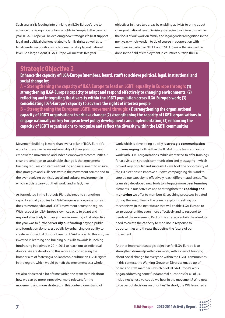Such analysis is feeding into thinking on ILGA-Europe's role to advance the recognition of family rights in Europe. In the coming year, ILGA-Europe will be exploring new strategies to best support legal and political changes related to family rights as well as to legal gender recognition which primarily take place at national level. To a large extent, ILGA-Europe will meet its five-year

objectives in these two areas by enabling activists to bring about change at national level. Devising strategies to achieve this will be the focus of our work on family and legal gender recognition in the next year, which we plan to do of course in cooperation with members in particular NELFA and TGEU. Similar thinking will be done in the field of employment in countries outside the EU.

### **Strategic Objective 2**

**Enhance the capacity of ILGA-Europe (members, board, staff) to achieve political, legal, institutional and social change by:**

**A – Strengthening the capacity of ILGA Europe to lead on LGBTI equality in Europe through: (1) strengthening ILGA-Europe's capacity to adapt and respond effectively to changing environments; (2) reflecting and integrating the diversity within the LGBTI population across ILGA-Europe's work; (3) consolidating ILGA-Europe's capacity to advance the rights of intersex people**

**B – Strengthening the European LGBTI movement through: (1) strengthening the organisational capacity of LGBTI organisations to achieve change; (2) strengthening the capacity of LGBTI organisations to engage nationally on key European level policy developments and implementation; (3) enhancing the capacity of LGBTI organisations to recognise and reflect the diversity within the LGBTI communities** 

Movement building is more than ever a pillar of ILGA-Europe's work for there can be no sustainability of change without an empowered movement, and indeed empowered communities. A clear precondition to sustainable change is that movementbuilding requires constant re-thinking and assessment to ensure that strategies and skills sets within the movement correspond to the ever-evolving political, social and cultural environment in which activists carry out their work, and in fact, live.

As formulated in the Strategic Plan, the need to strengthen capacity equally applies to ILGA-Europe as an organisation as it does to membership and LGBTI movement across the region. With respect to ILGA-Europe's own capacity to adapt and respond effectively to changing environments, a first objective this year was to further **diversify our funding** beyond public and foundation donors, especially by enhancing our ability to create an individual donors' base for ILGA-Europe. To this end, we invested in learning and building our skills towards launching fundraising initiatives in 2014-2015 to reach out to individual donors. We are developing this work also considering the broader aim of fostering a philanthropic culture on LGBTI rights in the region, which would benefit the movement as a whole.

We also dedicated a lot of time within the team to think about how we can be more innovative, more relevant for the movement, and more strategic. In this context, one strand of

work which is developing quickly is **strategic communication and messaging**, both within the ILGA-Europe team and in our work with LGBTI organisations. While we started to offer trainings for activists on strategic communication and messaging – which proved very popular and successful – we took the opportunity of the EU elections to improve our own campaigning skills and to step up our capacity to effectively reach different audiences. The team also developed new tools to integrate more **peer learning** elements in our activities and to strengthen the **coaching and mentoring** we offer to members (3 coaching processes initiated during the year). Finally, the team is exploring setting up mechanisms in the near future that will enable ILGA-Europe to seize opportunities even more effectively and to respond to needs of the movement. Part of this strategy entails the absolute need to create the capacity to mobilise in response to opportunities and threats that define the future of our movement.

Another important strategic objective for ILGA-Europe is to strengthen **diversity** within our work, with a view of bringing about social change for everyone within the LGBTI communities. In this context, the Working Group on Diversity (made up of board and staff members) which pilots ILGA-Europe's work began addressing some fundamental questions for all of us, including: Whose voices do we hear in the movement? Who gets to be part of decisions on priorities? In short, the WG launched a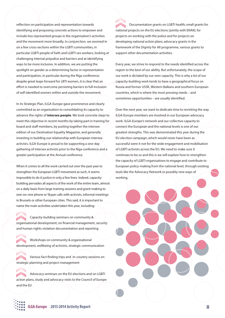reflection on participation and representation towards identifying and proposing concrete actions to empower and include less represented groups in the organisation's activities and the movement more broadly. In conjunction, we zoomed in on a few cross-sections within the LGBTI communities, in particular LGBTI people of faith and LGBTI sex workers, looking at challenging internal prejudice and barriers and at identifying ways to be more inclusive. In addition, we are putting the spotlight on gender as a determining factor in representation and participation, in particular during the Riga conference; despite great leaps forward for LBTI women, it is clear that an effort is needed to overcome persisting barriers to full inclusion of self-identified women within and outside the movement.

In its Strategic Plan, ILGA-Europe gave prominence and clearly committed as an organisation to consolidating its capacity to advance the rights of **intersex people**. We took concrete steps to meet this objective in recent months by taking part in training for board and staff members, by putting together the intersex edition of our Destination Equality Magazine, and generally investing in building our relationship with European intersex activists. ILGA-Europe is proud to be supporting a one-day gathering of intersex activists prior to the Riga conference and a greater participation at the Annual conference.

When it comes to all the work carried out over the past year to strengthen the European LGBTI movement as such, it seems impossible to do it justice in only a few lines. Indeed, capacitybuilding pervades all aspects of the work of the entire team, almost on a daily basis from large training sessions and grant-making to one-on-one phone or Skype calls with activists, informal meetings in Brussels or other European cities. This said, it is important to name the main activities undertaken this year, including:

Capacity-building seminars on community & organisational development, on financial management, security and human rights violation documentation and reporting

Workshops on community & organisational development, wellbeing of activists, strategic communication

Various fact-finding trips and in-country sessions on strategic planning and project management

Advocacy seminars on the EU elections and on LGBTI action plans, study and advocacy visits to the Council of Europe and the EU

Documentation grants on LGBTI health; small grants for national projects on the EU elections (jointly with ENAR), for projects on working with the police and for projects on developing national action plans; advocacy grants in the framework of the Dignity for All programme, various grants to support other documentation activities.

Every year, we strive to respond to the needs identified across the region to the best of our ability. But unfortunately, the scope of our work is dictated by our own capacity. This is why a lot of our capacity-building work tends to have a geographical focus on Russia and former USSR, Western Balkans and southern European countries, which is where the most pressing needs – and sometimes opportunities – are usually identified.

Over the next year, we want to dedicate time to revisiting the way ILGA-Europe members are involved in our European advocacy work. ILGA-Europe's network and our collective capacity to connect the European and the national levels is one of our greatest strengths. This was demonstrated this year during the EU election campaign, which would never have been as successful were it not for the wide engagement and mobilisation of LGBTI activists across the EU. We need to make sure it continues to be so and this is we will explore how to strengthen the capacity of LGBTI organisations to engage and contribute to European policy-making from the national level, through existing tools like the Advocacy Network or possibly new ways of working.